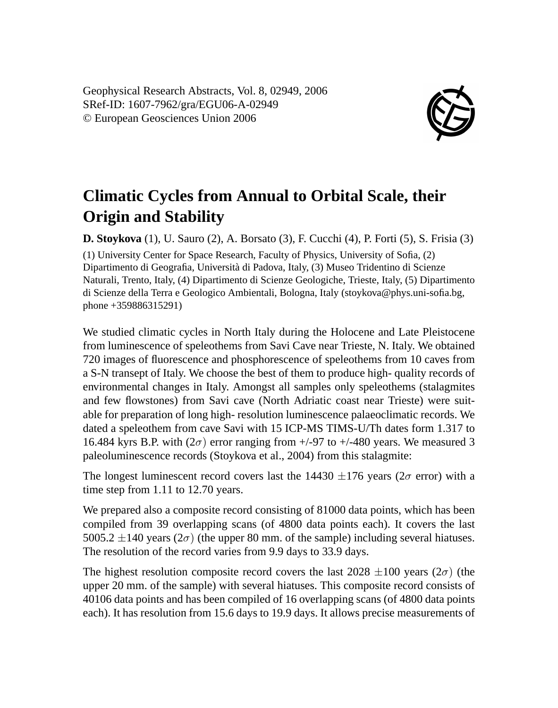Geophysical Research Abstracts, Vol. 8, 02949, 2006 SRef-ID: 1607-7962/gra/EGU06-A-02949 © European Geosciences Union 2006



## **Climatic Cycles from Annual to Orbital Scale, their Origin and Stability**

**D. Stoykova** (1), U. Sauro (2), A. Borsato (3), F. Cucchi (4), P. Forti (5), S. Frisia (3) (1) University Center for Space Research, Faculty of Physics, University of Sofia, (2) Dipartimento di Geografia, Università di Padova, Italy, (3) Museo Tridentino di Scienze Naturali, Trento, Italy, (4) Dipartimento di Scienze Geologiche, Trieste, Italy, (5) Dipartimento di Scienze della Terra e Geologico Ambientali, Bologna, Italy (stoykova@phys.uni-sofia.bg, phone +359886315291)

We studied climatic cycles in North Italy during the Holocene and Late Pleistocene from luminescence of speleothems from Savi Cave near Trieste, N. Italy. We obtained 720 images of fluorescence and phosphorescence of speleothems from 10 caves from a S-N transept of Italy. We choose the best of them to produce high- quality records of environmental changes in Italy. Amongst all samples only speleothems (stalagmites and few flowstones) from Savi cave (North Adriatic coast near Trieste) were suitable for preparation of long high- resolution luminescence palaeoclimatic records. We dated a speleothem from cave Savi with 15 ICP-MS TIMS-U/Th dates form 1.317 to 16.484 kyrs B.P. with  $(2\sigma)$  error ranging from  $+/97$  to  $+/480$  years. We measured 3 paleoluminescence records (Stoykova et al., 2004) from this stalagmite:

The longest luminescent record covers last the 14430  $\pm$ 176 years (2 $\sigma$  error) with a time step from 1.11 to 12.70 years.

We prepared also a composite record consisting of 81000 data points, which has been compiled from 39 overlapping scans (of 4800 data points each). It covers the last 5005.2  $\pm$ 140 years (2 $\sigma$ ) (the upper 80 mm. of the sample) including several hiatuses. The resolution of the record varies from 9.9 days to 33.9 days.

The highest resolution composite record covers the last 2028  $\pm 100$  years (2 $\sigma$ ) (the upper 20 mm. of the sample) with several hiatuses. This composite record consists of 40106 data points and has been compiled of 16 overlapping scans (of 4800 data points each). It has resolution from 15.6 days to 19.9 days. It allows precise measurements of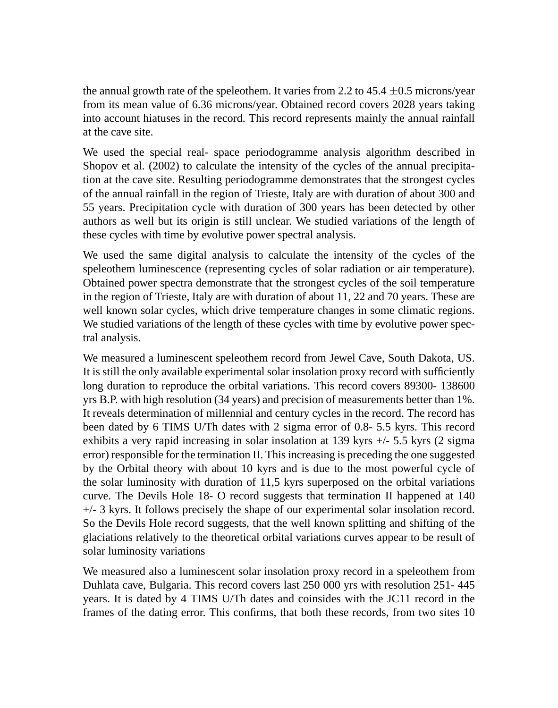the annual growth rate of the speleothem. It varies from 2.2 to  $45.4 \pm 0.5$  microns/year from its mean value of 6.36 microns/year. Obtained record covers 2028 years taking into account hiatuses in the record. This record represents mainly the annual rainfall at the cave site.

We used the special real- space periodogramme analysis algorithm described in Shopov et al. (2002) to calculate the intensity of the cycles of the annual precipitation at the cave site. Resulting periodogramme demonstrates that the strongest cycles of the annual rainfall in the region of Trieste, Italy are with duration of about 300 and 55 years. Precipitation cycle with duration of 300 years has been detected by other authors as well but its origin is still unclear. We studied variations of the length of these cycles with time by evolutive power spectral analysis.

We used the same digital analysis to calculate the intensity of the cycles of the speleothem luminescence (representing cycles of solar radiation or air temperature). Obtained power spectra demonstrate that the strongest cycles of the soil temperature in the region of Trieste, Italy are with duration of about 11, 22 and 70 years. These are well known solar cycles, which drive temperature changes in some climatic regions. We studied variations of the length of these cycles with time by evolutive power spectral analysis.

We measured a luminescent speleothem record from Jewel Cave, South Dakota, US. It is still the only available experimental solar insolation proxy record with sufficiently long duration to reproduce the orbital variations. This record covers 89300- 138600 yrs B.P. with high resolution (34 years) and precision of measurements better than 1%. It reveals determination of millennial and century cycles in the record. The record has been dated by 6 TIMS U/Th dates with 2 sigma error of 0.8- 5.5 kyrs. This record exhibits a very rapid increasing in solar insolation at 139 kyrs +/- 5.5 kyrs (2 sigma error) responsible for the termination II. This increasing is preceding the one suggested by the Orbital theory with about 10 kyrs and is due to the most powerful cycle of the solar luminosity with duration of 11,5 kyrs superposed on the orbital variations curve. The Devils Hole 18- O record suggests that termination II happened at 140 +/- 3 kyrs. It follows precisely the shape of our experimental solar insolation record. So the Devils Hole record suggests, that the well known splitting and shifting of the glaciations relatively to the theoretical orbital variations curves appear to be result of solar luminosity variations

We measured also a luminescent solar insolation proxy record in a speleothem from Duhlata cave, Bulgaria. This record covers last 250 000 yrs with resolution 251- 445 years. It is dated by 4 TIMS U/Th dates and coinsides with the JC11 record in the frames of the dating error. This confirms, that both these records, from two sites 10